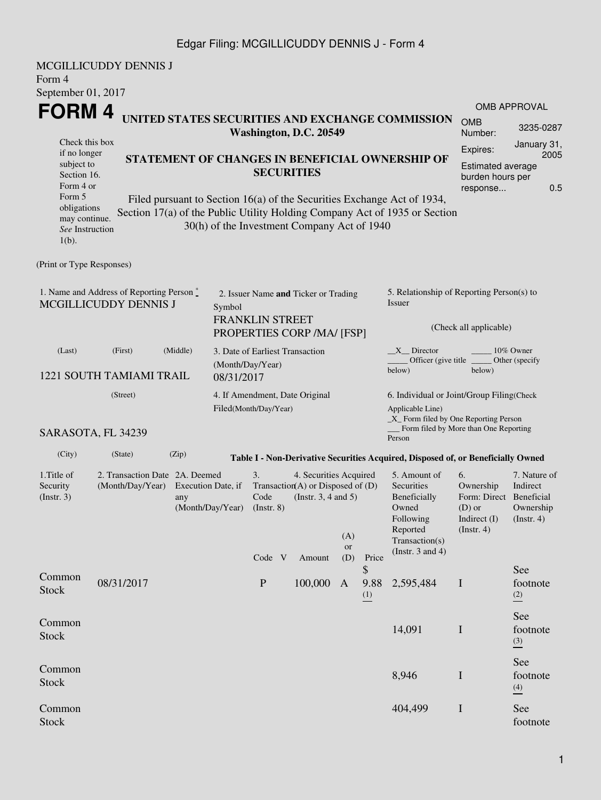### Edgar Filing: MCGILLICUDDY DENNIS J - Form 4

MCGILLICUDDY DENNIS J Form 4 September 01, 2017 **FORM 4** Check this box if no longer subject to Section 16. Form 4 or Form 5 obligations may continue. *See* Instruction 1(b). **UNITED STATES SECURITIES AND EXCHANGE COMMISSION Washington, D.C. 20549 STATEMENT OF CHANGES IN BENEFICIAL OWNERSHIP OF SECURITIES** Filed pursuant to Section 16(a) of the Securities Exchange Act of 1934, Section 17(a) of the Public Utility Holding Company Act of 1935 or Section 30(h) of the Investment Company Act of 1940 OMB APPROVAL OMB Number: 3235-0287 Expires: January 31, 2005 Estimated average burden hours per response... 0.5 (Print or Type Responses) 1. Name and Address of Reporting Person \* MCGILLICUDDY DENNIS J 2. Issuer Name **and** Ticker or Trading Symbol FRANKLIN STREET PROPERTIES CORP /MA/ [FSP] 5. Relationship of Reporting Person(s) to Issuer (Check all applicable) \_X\_\_ Director \_\_\_\_\_\_\_\_ 10% Owner Officer (give title below) Other (specify below) (Last) (First) (Middle) 1221 SOUTH TAMIAMI TRAIL 3. Date of Earliest Transaction (Month/Day/Year) 08/31/2017 (Street) SARASOTA, FL 34239 4. If Amendment, Date Original Filed(Month/Day/Year) 6. Individual or Joint/Group Filing(Check Applicable Line) \_X\_ Form filed by One Reporting Person Form filed by More than One Reporting Person (City) (State) (Zip) **Table I - Non-Derivative Securities Acquired, Disposed of, or Beneficially Owned** 1.Title of Security (Instr. 3) 2. Transaction Date 2A. Deemed (Month/Day/Year) Execution Date, if any (Month/Day/Year) 3. Transaction (A) or Disposed of (D) Code  $(Insert 8)$ 4. Securities Acquired (Instr. 3, 4 and 5) 5. Amount of **Securities** Beneficially Owned Following Reported Transaction(s) (Instr. 3 and 4) 6. Ownership Form: Direct (D) or Indirect (I) (Instr. 4) 7. Nature of **Indirect** Beneficial Ownership (Instr. 4) Code V Amount (A) or (D) Price Common EURE 08/31/2017 P 100,000 A<br>Stock \$ 9.88 (1) 2,595,484 I See footnote (2) Common  $S$ tock  $14,091$  I See footnote (3) Common  $S<sub>3</sub>$ ,  $S<sub>46</sub>$  I and  $S<sub>5</sub>$  and  $S<sub>6</sub>$  and  $S<sub>7</sub>$  and  $S<sub>8</sub>$ ,  $S<sub>9</sub>$  and  $S<sub>8</sub>$ See footnote (4) Common Stock 404,499 I See footnote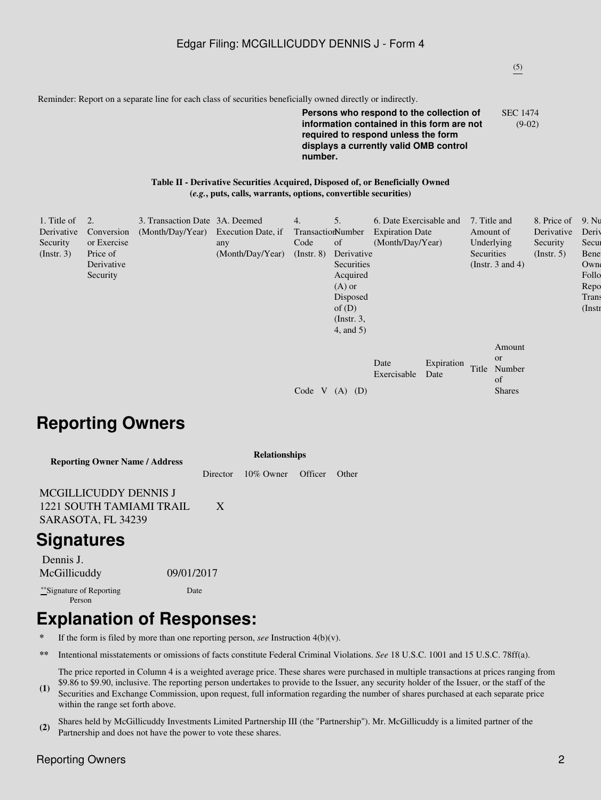### (5)

Reminder: Report on a separate line for each class of securities beneficially owned directly or indirectly.

#### **Persons who respond to the collection of information contained in this form are not required to respond unless the form displays a currently valid OMB control number.** SEC 1474 (9-02)

#### **Table II - Derivative Securities Acquired, Disposed of, or Beneficially Owned (***e.g.***, puts, calls, warrants, options, convertible securities)**

| 1. Title of<br>Derivative<br>Security<br>(Insert. 3) | 2.<br>Conversion<br>or Exercise<br>Price of<br>Derivative<br>Security | 3. Transaction Date 3A. Deemed<br>(Month/Day/Year) Execution Date, if | any<br>(Month/Day/Year) | 4.<br>TransactionNumber<br>Code<br>$($ Instr. $8)$ | 5.<br>of<br>Derivative<br>Securities<br>Acquired<br>$(A)$ or<br>Disposed | 6. Date Exercisable and<br><b>Expiration Date</b><br>(Month/Day/Year) |                    | 7. Title and<br>Amount of<br>Underlying<br>Securities | (Instr. $3$ and $4$ )                                | 8. Price of<br>Derivative<br>Security<br>(Insert, 5) | 9. Nu<br>Deriy<br>Secur<br>Bene<br>Owne<br>Follo<br>Repo<br>Trans |
|------------------------------------------------------|-----------------------------------------------------------------------|-----------------------------------------------------------------------|-------------------------|----------------------------------------------------|--------------------------------------------------------------------------|-----------------------------------------------------------------------|--------------------|-------------------------------------------------------|------------------------------------------------------|------------------------------------------------------|-------------------------------------------------------------------|
|                                                      |                                                                       |                                                                       |                         |                                                    | of $(D)$<br>$($ Instr. 3,<br>$4$ , and $5$ )                             |                                                                       |                    |                                                       |                                                      |                                                      | $($ Instr                                                         |
|                                                      |                                                                       |                                                                       |                         | Code<br><b>V</b>                                   | (D)<br>(A)                                                               | Date<br>Exercisable                                                   | Expiration<br>Date | Title                                                 | Amount<br><b>or</b><br>Number<br>of<br><b>Shares</b> |                                                      |                                                                   |

# **Reporting Owners**

| <b>Reporting Owner Name / Address</b> | <b>Relationships</b> |              |           |              |  |  |  |  |
|---------------------------------------|----------------------|--------------|-----------|--------------|--|--|--|--|
|                                       | Director             | $10\%$ Owner | – Officer | <b>Other</b> |  |  |  |  |
| <b>MCGILLICUDDY DENNIS J</b>          |                      |              |           |              |  |  |  |  |
| 1221 SOUTH TAMIAMI TRAIL              | X                    |              |           |              |  |  |  |  |
| SARASOTA, FL 34239                    |                      |              |           |              |  |  |  |  |
| <b>Signatures</b>                     |                      |              |           |              |  |  |  |  |
| Dennis J.                             |                      |              |           |              |  |  |  |  |
| 09/01/2017<br>McGillicuddy            |                      |              |           |              |  |  |  |  |

\*\*Signature of Reporting Person

Date

# **Explanation of Responses:**

**\*** If the form is filed by more than one reporting person, *see* Instruction 4(b)(v).

**\*\*** Intentional misstatements or omissions of facts constitute Federal Criminal Violations. *See* 18 U.S.C. 1001 and 15 U.S.C. 78ff(a).

The price reported in Column 4 is a weighted average price. These shares were purchased in multiple transactions at prices ranging from \$9.86 to \$9.90, inclusive. The reporting person undertakes to provide to the Issuer, any security holder of the Issuer, or the staff of the

- **(1)** Securities and Exchange Commission, upon request, full information regarding the number of shares purchased at each separate price within the range set forth above.
- **(2)** Shares held by McGillicuddy Investments Limited Partnership III (the "Partnership"). Mr. McGillicuddy is a limited partner of the Partnership and does not have the power to vote these shares.